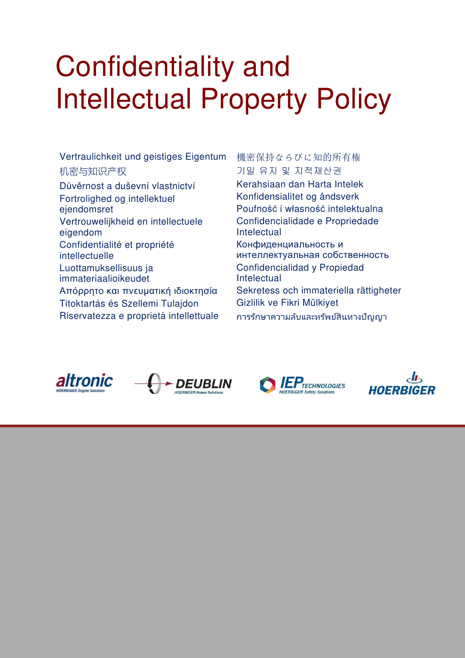# Confidentiality and Intellectual Property Policy

# Vertraulichkeit und geistiges Eigentum 机密与知识产权

Důvěrnost a duševní vlastnictví Fortrolighed og intellektuel ejendomsret Vertrouwelijkheid en intellectuele eigendom Confidentialité et propriété intellectuelle Luottamuksellisuus ja immateriaalioikeudet Απόρρητο και πνευματική ιδιοκτησία Titoktartás és Szellemi Tulajdon Riservatezza e proprietà intellettuale 機密保持ならびに知的所有権 기밀 유지 및 지적재산권 Kerahsiaan dan Harta Intelek Konfidensialitet og åndsverk Poufność i własność intelektualna Confidencialidade e Propriedade Intelectual Конфиденциальность и интеллектуальная собственность Confidencialidad y Propiedad **Intelectual** Sekretess och immateriella rättigheter Gizlilik ve Fikri Mülkiyet การรักษาความลับและทรัพย์สินทางปัญญา



**DEUBLIN** 



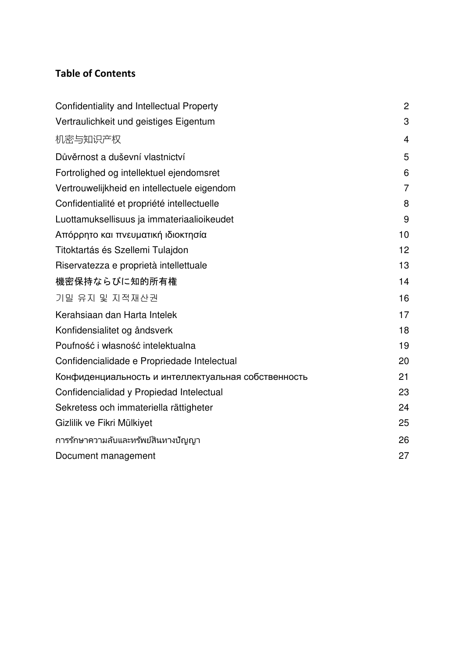# **Table of Contents**

| Confidentiality and Intellectual Property           | $\overline{2}$ |
|-----------------------------------------------------|----------------|
| Vertraulichkeit und geistiges Eigentum              | 3              |
| 机密与知识产权                                             | $\overline{4}$ |
| Důvěrnost a duševní vlastnictví                     | 5              |
| Fortrolighed og intellektuel ejendomsret            | 6              |
| Vertrouwelijkheid en intellectuele eigendom         | $\overline{7}$ |
| Confidentialité et propriété intellectuelle         | 8              |
| Luottamuksellisuus ja immateriaalioikeudet          | 9              |
| Απόρρητο και πνευματική ιδιοκτησία                  | 10             |
| Titoktartás és Szellemi Tulajdon                    | 12             |
| Riservatezza e proprietà intellettuale              | 13             |
| 機密保持ならびに知的所有権                                       | 14             |
| 기밀 유지 및 지적재산권                                       | 16             |
| Kerahsiaan dan Harta Intelek                        | 17             |
| Konfidensialitet og åndsverk                        | 18             |
| Poufność i własność intelektualna                   | 19             |
| Confidencialidade e Propriedade Intelectual         | 20             |
| Конфиденциальность и интеллектуальная собственность | 21             |
| Confidencialidad y Propiedad Intelectual            | 23             |
| Sekretess och immateriella rättigheter              | 24             |
| Gizlilik ve Fikri Mülkiyet                          | 25             |
| การรักษาความลับและทรัพย์สินทางปัญญา                 | 26             |
| Document management                                 | 27             |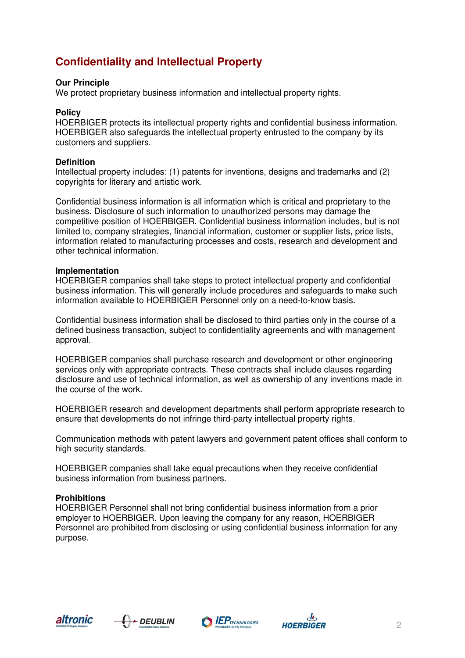# **Confidentiality and Intellectual Property**

## **Our Principle**

We protect proprietary business information and intellectual property rights.

#### **Policy**

HOERBIGER protects its intellectual property rights and confidential business information. HOERBIGER also safeguards the intellectual property entrusted to the company by its customers and suppliers.

#### **Definition**

Intellectual property includes: (1) patents for inventions, designs and trademarks and (2) copyrights for literary and artistic work.

Confidential business information is all information which is critical and proprietary to the business. Disclosure of such information to unauthorized persons may damage the competitive position of HOERBIGER. Confidential business information includes, but is not limited to, company strategies, financial information, customer or supplier lists, price lists, information related to manufacturing processes and costs, research and development and other technical information.

#### **Implementation**

HOERBIGER companies shall take steps to protect intellectual property and confidential business information. This will generally include procedures and safeguards to make such information available to HOERBIGER Personnel only on a need-to-know basis.

Confidential business information shall be disclosed to third parties only in the course of a defined business transaction, subject to confidentiality agreements and with management approval.

HOERBIGER companies shall purchase research and development or other engineering services only with appropriate contracts. These contracts shall include clauses regarding disclosure and use of technical information, as well as ownership of any inventions made in the course of the work.

HOERBIGER research and development departments shall perform appropriate research to ensure that developments do not infringe third-party intellectual property rights.

Communication methods with patent lawyers and government patent offices shall conform to high security standards.

HOERBIGER companies shall take equal precautions when they receive confidential business information from business partners.

## **Prohibitions**

HOERBIGER Personnel shall not bring confidential business information from a prior employer to HOERBIGER. Upon leaving the company for any reason, HOERBIGER Personnel are prohibited from disclosing or using confidential business information for any purpose.







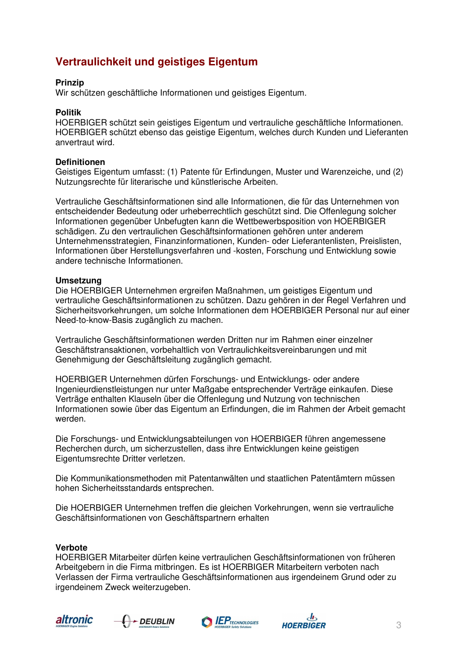# **Vertraulichkeit und geistiges Eigentum**

# **Prinzip**

Wir schützen geschäftliche Informationen und geistiges Eigentum.

## **Politik**

HOERBIGER schützt sein geistiges Eigentum und vertrauliche geschäftliche Informationen. HOERBIGER schützt ebenso das geistige Eigentum, welches durch Kunden und Lieferanten anvertraut wird.

### **Definitionen**

Geistiges Eigentum umfasst: (1) Patente für Erfindungen, Muster und Warenzeiche, und (2) Nutzungsrechte für literarische und künstlerische Arbeiten.

Vertrauliche Geschäftsinformationen sind alle Informationen, die für das Unternehmen von entscheidender Bedeutung oder urheberrechtlich geschützt sind. Die Offenlegung solcher Informationen gegenüber Unbefugten kann die Wettbewerbsposition von HOERBIGER schädigen. Zu den vertraulichen Geschäftsinformationen gehören unter anderem Unternehmensstrategien, Finanzinformationen, Kunden- oder Lieferantenlisten, Preislisten, Informationen über Herstellungsverfahren und -kosten, Forschung und Entwicklung sowie andere technische Informationen.

## **Umsetzung**

Die HOERBIGER Unternehmen ergreifen Maßnahmen, um geistiges Eigentum und vertrauliche Geschäftsinformationen zu schützen. Dazu gehören in der Regel Verfahren und Sicherheitsvorkehrungen, um solche Informationen dem HOERBIGER Personal nur auf einer Need-to-know-Basis zugänglich zu machen.

Vertrauliche Geschäftsinformationen werden Dritten nur im Rahmen einer einzelner Geschäftstransaktionen, vorbehaltlich von Vertraulichkeitsvereinbarungen und mit Genehmigung der Geschäftsleitung zugänglich gemacht.

HOERBIGER Unternehmen dürfen Forschungs- und Entwicklungs- oder andere Ingenieurdienstleistungen nur unter Maßgabe entsprechender Verträge einkaufen. Diese Verträge enthalten Klauseln über die Offenlegung und Nutzung von technischen Informationen sowie über das Eigentum an Erfindungen, die im Rahmen der Arbeit gemacht werden.

Die Forschungs- und Entwicklungsabteilungen von HOERBIGER führen angemessene Recherchen durch, um sicherzustellen, dass ihre Entwicklungen keine geistigen Eigentumsrechte Dritter verletzen.

Die Kommunikationsmethoden mit Patentanwälten und staatlichen Patentämtern müssen hohen Sicherheitsstandards entsprechen.

Die HOERBIGER Unternehmen treffen die gleichen Vorkehrungen, wenn sie vertrauliche Geschäftsinformationen von Geschäftspartnern erhalten

## **Verbote**

HOERBIGER Mitarbeiter dürfen keine vertraulichen Geschäftsinformationen von früheren Arbeitgebern in die Firma mitbringen. Es ist HOERBIGER Mitarbeitern verboten nach Verlassen der Firma vertrauliche Geschäftsinformationen aus irgendeinem Grund oder zu irgendeinem Zweck weiterzugeben.







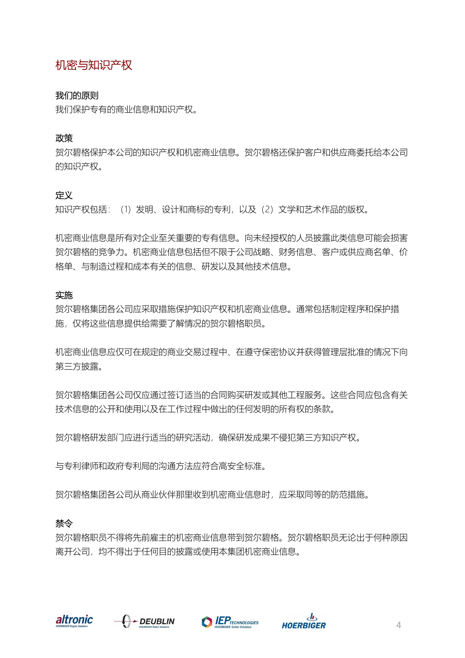# 机密与知识产权

# 我们的原则

我们保护专有的商业信息和知识产权。

# 政策

贺尔碧格保护本公司的知识产权和机密商业信息。贺尔碧格还保护客户和供应商委托给本公司 的知识产权。

# 定义

知识产权包括: (1) 发明、设计和商标的专利, 以及 (2) 文学和艺术作品的版权。

机密商业信息是所有对企业至关重要的专有信息。向未经授权的人员披露此类信息可能会损害 贺尔碧格的竞争力。机密商业信息包括但不限于公司战略、财务信息、客户或供应商名单、价 格单、与制造过程和成本有关的信息、研发以及其他技术信息。

# 实施

贺尔碧格集团各公司应采取措施保护知识产权和机密商业信息。通常包括制定程序和保护措 施,仅将这些信息提供给需要了解情况的贺尔碧格职员。

机密商业信息应仅可在规定的商业交易过程中、在遵守保密协议并获得管理层批准的情况下向 第三方披露。

贺尔碧格集团各公司仅应通过签订适当的合同购买研发或其他工程服务。这些合同应包含有关 技术信息的公开和使用以及在工作过程中做出的任何发明的所有权的条款。

贺尔碧格研发部门应进行适当的研究活动,确保研发成果不侵犯第三方知识产权。

与专利律师和政府专利局的沟通方法应符合高安全标准。

贺尔碧格集团各公司从商业伙伴那里收到机密商业信息时,应采取同等的防范措施。

# 禁令

贺尔碧格职员不得将先前雇主的机密商业信息带到贺尔碧格。贺尔碧格职员无论出于何种原因 离开公司,均不得出于任何目的披露或使用本集团机密商业信息。







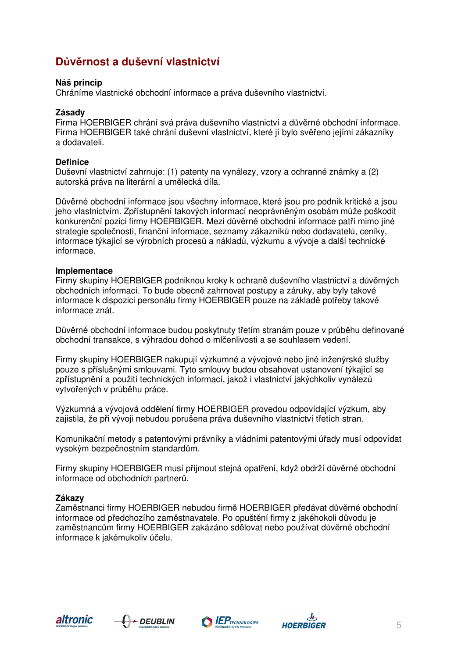# **Důvěrnost a duševní vlastnictví**

#### **Náš princip**

Chráníme vlastnické obchodní informace a práva duševního vlastnictví.

#### **Zásady**

Firma HOERBIGER chrání svá práva duševního vlastnictví a důvěrné obchodní informace. Firma HOERBIGER také chrání duševní vlastnictví, které jí bylo svěřeno jejími zákazníky a dodavateli.

#### **Definice**

Duševní vlastnictví zahrnuje: (1) patenty na vynálezy, vzory a ochranné známky a (2) autorská práva na literární a umělecká díla.

Důvěrné obchodní informace jsou všechny informace, které jsou pro podnik kritické a jsou jeho vlastnictvím. Zpřístupnění takových informací neoprávněným osobám může poškodit konkurenční pozici firmy HOERBIGER. Mezi důvěrné obchodní informace patří mimo jiné strategie společnosti, finanční informace, seznamy zákazníků nebo dodavatelů, ceníky, informace týkající se výrobních procesů a nákladů, výzkumu a vývoje a další technické informace.

#### **Implementace**

Firmy skupiny HOERBIGER podniknou kroky k ochraně duševního vlastnictví a důvěrných obchodních informací. To bude obecně zahrnovat postupy a záruky, aby byly takové informace k dispozici personálu firmy HOERBIGER pouze na základě potřeby takové informace znát.

Důvěrné obchodní informace budou poskytnuty třetím stranám pouze v průběhu definované obchodní transakce, s výhradou dohod o mlčenlivosti a se souhlasem vedení.

Firmy skupiny HOERBIGER nakupují výzkumné a vývojové nebo jiné inženýrské služby pouze s příslušnými smlouvami. Tyto smlouvy budou obsahovat ustanovení týkající se zpřístupnění a použití technických informací, jakož i vlastnictví jakýchkoliv vynálezů vytvořených v průběhu práce.

Výzkumná a vývojová oddělení firmy HOERBIGER provedou odpovídající výzkum, aby zajistila, že při vývoji nebudou porušena práva duševního vlastnictví třetích stran.

Komunikační metody s patentovými právníky a vládními patentovými úřady musí odpovídat vysokým bezpečnostním standardům.

Firmy skupiny HOERBIGER musí přijmout stejná opatření, když obdrží důvěrné obchodní informace od obchodních partnerů.

## **Zákazy**

Zaměstnanci firmy HOERBIGER nebudou firmě HOERBIGER předávat důvěrné obchodní informace od předchozího zaměstnavatele. Po opuštění firmy z jakéhokoli důvodu je zaměstnancům firmy HOERBIGER zakázáno sdělovat nebo používat důvěrné obchodní informace k jakémukoliv účelu.







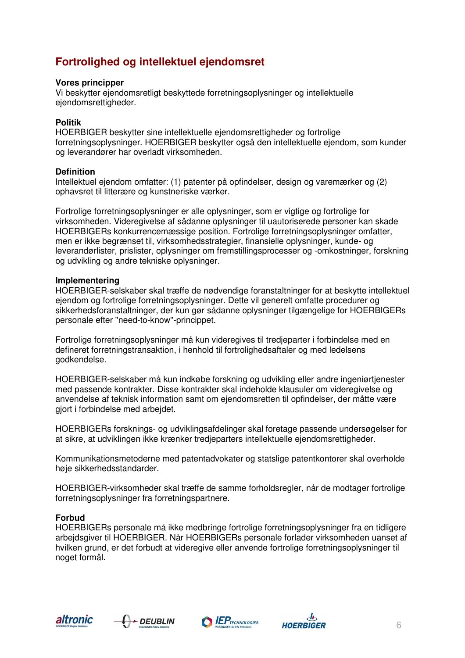# **Fortrolighed og intellektuel ejendomsret**

#### **Vores principper**

Vi beskytter ejendomsretligt beskyttede forretningsoplysninger og intellektuelle ejendomsrettigheder.

## **Politik**

HOERBIGER beskytter sine intellektuelle ejendomsrettigheder og fortrolige forretningsoplysninger. HOERBIGER beskytter også den intellektuelle ejendom, som kunder og leverandører har overladt virksomheden.

## **Definition**

Intellektuel ejendom omfatter: (1) patenter på opfindelser, design og varemærker og (2) ophavsret til litterære og kunstneriske værker.

Fortrolige forretningsoplysninger er alle oplysninger, som er vigtige og fortrolige for virksomheden. Videregivelse af sådanne oplysninger til uautoriserede personer kan skade HOERBIGERs konkurrencemæssige position. Fortrolige forretningsoplysninger omfatter, men er ikke begrænset til, virksomhedsstrategier, finansielle oplysninger, kunde- og leverandørlister, prislister, oplysninger om fremstillingsprocesser og -omkostninger, forskning og udvikling og andre tekniske oplysninger.

## **Implementering**

HOERBIGER-selskaber skal træffe de nødvendige foranstaltninger for at beskytte intellektuel ejendom og fortrolige forretningsoplysninger. Dette vil generelt omfatte procedurer og sikkerhedsforanstaltninger, der kun gør sådanne oplysninger tilgængelige for HOERBIGERs personale efter "need-to-know"-princippet.

Fortrolige forretningsoplysninger må kun videregives til tredjeparter i forbindelse med en defineret forretningstransaktion, i henhold til fortrolighedsaftaler og med ledelsens godkendelse.

HOERBIGER-selskaber må kun indkøbe forskning og udvikling eller andre ingeniørtjenester med passende kontrakter. Disse kontrakter skal indeholde klausuler om videregivelse og anvendelse af teknisk information samt om ejendomsretten til opfindelser, der måtte være giort i forbindelse med arbeidet.

HOERBIGERs forsknings- og udviklingsafdelinger skal foretage passende undersøgelser for at sikre, at udviklingen ikke krænker tredjeparters intellektuelle ejendomsrettigheder.

Kommunikationsmetoderne med patentadvokater og statslige patentkontorer skal overholde høje sikkerhedsstandarder.

HOERBIGER-virksomheder skal træffe de samme forholdsregler, når de modtager fortrolige forretningsoplysninger fra forretningspartnere.

## **Forbud**

HOERBIGERs personale må ikke medbringe fortrolige forretningsoplysninger fra en tidligere arbejdsgiver til HOERBIGER. Når HOERBIGERs personale forlader virksomheden uanset af hvilken grund, er det forbudt at videregive eller anvende fortrolige forretningsoplysninger til noget formål.







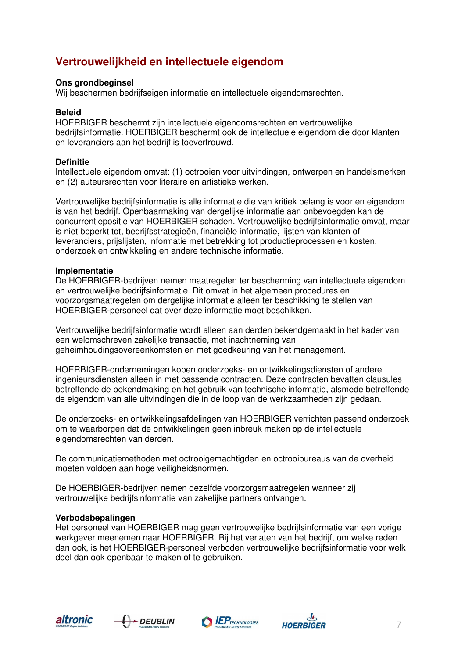# **Vertrouwelijkheid en intellectuele eigendom**

### **Ons grondbeginsel**

Wij beschermen bedrijfseigen informatie en intellectuele eigendomsrechten.

#### **Beleid**

HOERBIGER beschermt zijn intellectuele eigendomsrechten en vertrouwelijke bedrijfsinformatie. HOERBIGER beschermt ook de intellectuele eigendom die door klanten en leveranciers aan het bedrijf is toevertrouwd.

#### **Definitie**

Intellectuele eigendom omvat: (1) octrooien voor uitvindingen, ontwerpen en handelsmerken en (2) auteursrechten voor literaire en artistieke werken.

Vertrouwelijke bedrijfsinformatie is alle informatie die van kritiek belang is voor en eigendom is van het bedrijf. Openbaarmaking van dergelijke informatie aan onbevoegden kan de concurrentiepositie van HOERBIGER schaden. Vertrouwelijke bedrijfsinformatie omvat, maar is niet beperkt tot, bedrijfsstrategieën, financiële informatie, lijsten van klanten of leveranciers, prijslijsten, informatie met betrekking tot productieprocessen en kosten, onderzoek en ontwikkeling en andere technische informatie.

#### **Implementatie**

De HOERBIGER-bedrijven nemen maatregelen ter bescherming van intellectuele eigendom en vertrouwelijke bedrijfsinformatie. Dit omvat in het algemeen procedures en voorzorgsmaatregelen om dergelijke informatie alleen ter beschikking te stellen van HOERBIGER-personeel dat over deze informatie moet beschikken.

Vertrouwelijke bedrijfsinformatie wordt alleen aan derden bekendgemaakt in het kader van een welomschreven zakelijke transactie, met inachtneming van geheimhoudingsovereenkomsten en met goedkeuring van het management.

HOERBIGER-ondernemingen kopen onderzoeks- en ontwikkelingsdiensten of andere ingenieursdiensten alleen in met passende contracten. Deze contracten bevatten clausules betreffende de bekendmaking en het gebruik van technische informatie, alsmede betreffende de eigendom van alle uitvindingen die in de loop van de werkzaamheden zijn gedaan.

De onderzoeks- en ontwikkelingsafdelingen van HOERBIGER verrichten passend onderzoek om te waarborgen dat de ontwikkelingen geen inbreuk maken op de intellectuele eigendomsrechten van derden.

De communicatiemethoden met octrooigemachtigden en octrooibureaus van de overheid moeten voldoen aan hoge veiligheidsnormen.

De HOERBIGER-bedrijven nemen dezelfde voorzorgsmaatregelen wanneer zij vertrouwelijke bedrijfsinformatie van zakelijke partners ontvangen.

#### **Verbodsbepalingen**

Het personeel van HOERBIGER mag geen vertrouwelijke bedrijfsinformatie van een vorige werkgever meenemen naar HOERBIGER. Bij het verlaten van het bedrijf, om welke reden dan ook, is het HOERBIGER-personeel verboden vertrouwelijke bedrijfsinformatie voor welk doel dan ook openbaar te maken of te gebruiken.







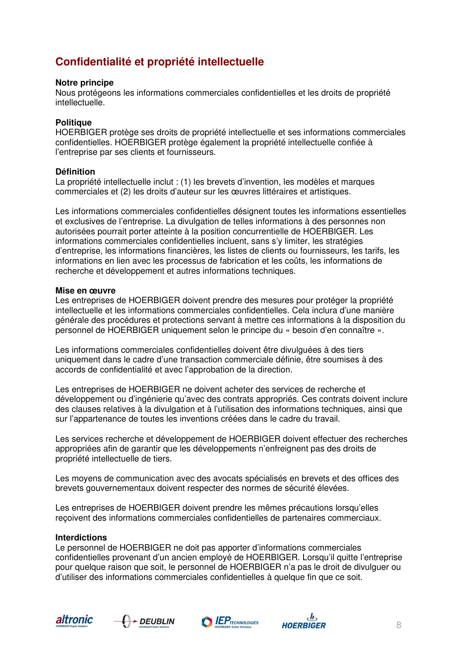# **Confidentialité et propriété intellectuelle**

#### **Notre principe**

Nous protégeons les informations commerciales confidentielles et les droits de propriété intellectuelle.

## **Politique**

HOERBIGER protège ses droits de propriété intellectuelle et ses informations commerciales confidentielles. HOERBIGER protège également la propriété intellectuelle confiée à l'entreprise par ses clients et fournisseurs.

## **Définition**

La propriété intellectuelle inclut : (1) les brevets d'invention, les modèles et marques commerciales et (2) les droits d'auteur sur les œuvres littéraires et artistiques.

Les informations commerciales confidentielles désignent toutes les informations essentielles et exclusives de l'entreprise. La divulgation de telles informations à des personnes non autorisées pourrait porter atteinte à la position concurrentielle de HOERBIGER. Les informations commerciales confidentielles incluent, sans s'y limiter, les stratégies d'entreprise, les informations financières, les listes de clients ou fournisseurs, les tarifs, les informations en lien avec les processus de fabrication et les coûts, les informations de recherche et développement et autres informations techniques.

#### **Mise en œuvre**

Les entreprises de HOERBIGER doivent prendre des mesures pour protéger la propriété intellectuelle et les informations commerciales confidentielles. Cela inclura d'une manière générale des procédures et protections servant à mettre ces informations à la disposition du personnel de HOERBIGER uniquement selon le principe du « besoin d'en connaître ».

Les informations commerciales confidentielles doivent être divulguées à des tiers uniquement dans le cadre d'une transaction commerciale définie, être soumises à des accords de confidentialité et avec l'approbation de la direction.

Les entreprises de HOERBIGER ne doivent acheter des services de recherche et développement ou d'ingénierie qu'avec des contrats appropriés. Ces contrats doivent inclure des clauses relatives à la divulgation et à l'utilisation des informations techniques, ainsi que sur l'appartenance de toutes les inventions créées dans le cadre du travail.

Les services recherche et développement de HOERBIGER doivent effectuer des recherches appropriées afin de garantir que les développements n'enfreignent pas des droits de propriété intellectuelle de tiers.

Les moyens de communication avec des avocats spécialisés en brevets et des offices des brevets gouvernementaux doivent respecter des normes de sécurité élevées.

Les entreprises de HOERBIGER doivent prendre les mêmes précautions lorsqu'elles reçoivent des informations commerciales confidentielles de partenaires commerciaux.

#### **Interdictions**

Le personnel de HOERBIGER ne doit pas apporter d'informations commerciales confidentielles provenant d'un ancien employé de HOERBIGER. Lorsqu'il quitte l'entreprise pour quelque raison que soit, le personnel de HOERBIGER n'a pas le droit de divulguer ou d'utiliser des informations commerciales confidentielles à quelque fin que ce soit.







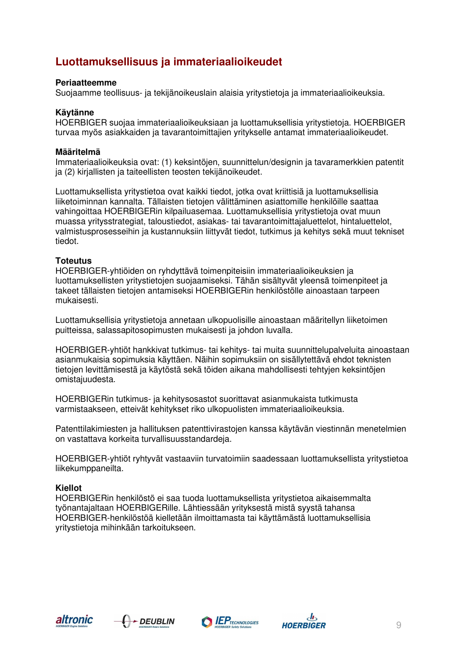# **Luottamuksellisuus ja immateriaalioikeudet**

### **Periaatteemme**

Suojaamme teollisuus- ja tekijänoikeuslain alaisia yritystietoja ja immateriaalioikeuksia.

#### **Käytänne**

HOERBIGER suojaa immateriaalioikeuksiaan ja luottamuksellisia yritystietoja. HOERBIGER turvaa myös asiakkaiden ja tavarantoimittajien yritykselle antamat immateriaalioikeudet.

#### **Määritelmä**

Immateriaalioikeuksia ovat: (1) keksintöjen, suunnittelun/designin ja tavaramerkkien patentit ja (2) kirjallisten ja taiteellisten teosten tekijänoikeudet.

Luottamuksellista yritystietoa ovat kaikki tiedot, jotka ovat kriittisiä ja luottamuksellisia liiketoiminnan kannalta. Tällaisten tietojen välittäminen asiattomille henkilöille saattaa vahingoittaa HOERBIGERin kilpailuasemaa. Luottamuksellisia yritystietoja ovat muun muassa yritysstrategiat, taloustiedot, asiakas- tai tavarantoimittajaluettelot, hintaluettelot, valmistusprosesseihin ja kustannuksiin liittyvät tiedot, tutkimus ja kehitys sekä muut tekniset tiedot.

## **Toteutus**

HOERBIGER-yhtiöiden on ryhdyttävä toimenpiteisiin immateriaalioikeuksien ja luottamuksellisten yritystietojen suojaamiseksi. Tähän sisältyvät yleensä toimenpiteet ja takeet tällaisten tietojen antamiseksi HOERBIGERin henkilöstölle ainoastaan tarpeen mukaisesti.

Luottamuksellisia yritystietoja annetaan ulkopuolisille ainoastaan määritellyn liiketoimen puitteissa, salassapitosopimusten mukaisesti ja johdon luvalla.

HOERBIGER-yhtiöt hankkivat tutkimus- tai kehitys- tai muita suunnittelupalveluita ainoastaan asianmukaisia sopimuksia käyttäen. Näihin sopimuksiin on sisällytettävä ehdot teknisten tietojen levittämisestä ja käytöstä sekä töiden aikana mahdollisesti tehtyjen keksintöjen omistajuudesta.

HOERBIGERin tutkimus- ja kehitysosastot suorittavat asianmukaista tutkimusta varmistaakseen, etteivät kehitykset riko ulkopuolisten immateriaalioikeuksia.

Patenttilakimiesten ja hallituksen patenttivirastojen kanssa käytävän viestinnän menetelmien on vastattava korkeita turvallisuusstandardeja.

HOERBIGER-yhtiöt ryhtyvät vastaaviin turvatoimiin saadessaan luottamuksellista yritystietoa liikekumppaneilta.

## **Kiellot**

HOERBIGERin henkilöstö ei saa tuoda luottamuksellista yritystietoa aikaisemmalta työnantajaltaan HOERBIGERille. Lähtiessään yrityksestä mistä syystä tahansa HOERBIGER-henkilöstöä kielletään ilmoittamasta tai käyttämästä luottamuksellisia yritystietoja mihinkään tarkoitukseen.







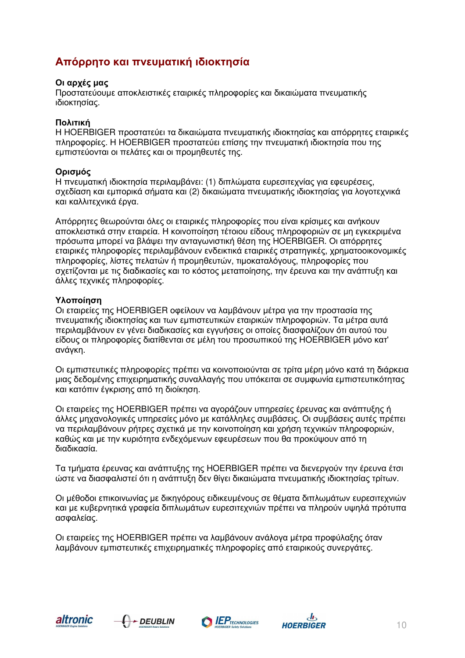# **Απόρρητο και πνευματική ιδιοκτησία**

# **Οι αρχές μας**

Προστατεύουμε αποκλειστικές εταιρικές πληροφορίες και δικαιώματα πνευματικής ιδιοκτησίας.

# **Πολιτική**

Η HOERBIGER προστατεύει τα δικαιώματα πνευματικής ιδιοκτησίας και απόρρητες εταιρικές πληροφορίες. Η HOERBIGER προστατεύει επίσης την πνευματική ιδιοκτησία που της εμπιστεύονται οι πελάτες και οι προμηθευτές της.

# **Ορισμός**

Η πνευματική ιδιοκτησία περιλαμβάνει: (1) διπλώματα ευρεσιτεχνίας για εφευρέσεις, σχεδίαση και εμπορικά σήματα και (2) δικαιώματα πνευματικής ιδιοκτησίας για λογοτεχνικά και καλλιτεχνικά έργα.

Απόρρητες θεωρούνται όλες οι εταιρικές πληροφορίες που είναι κρίσιμες και ανήκουν αποκλειστικά στην εταιρεία. Η κοινοποίηση τέτοιου είδους πληροφοριών σε μη εγκεκριμένα πρόσωπα μπορεί να βλάψει την ανταγωνιστική θέση της HOERBIGER. Οι απόρρητες εταιρικές πληροφορίες περιλαμβάνουν ενδεικτικά εταιρικές στρατηγικές, χρηματοοικονομικές πληροφορίες, λίστες πελατών ή προμηθευτών, τιμοκαταλόγους, πληροφορίες που σχετίζονται με τις διαδικασίες και το κόστος μεταποίησης, την έρευνα και την ανάπτυξη και άλλες τεχνικές πληροφορίες.

# **Υλοποίηση**

Οι εταιρείες της HOERBIGER οφείλουν να λαμβάνουν μέτρα για την προστασία της πνευματικής ιδιοκτησίας και των εμπιστευτικών εταιρικών πληροφοριών. Τα μέτρα αυτά περιλαμβάνουν εν γένει διαδικασίες και εγγυήσεις οι οποίες διασφαλίζουν ότι αυτού του είδους οι πληροφορίες διατίθενται σε μέλη του προσωπικού της HOERBIGER μόνο κατ' ανάγκη.

Οι εμπιστευτικές πληροφορίες πρέπει να κοινοποιούνται σε τρίτα μέρη μόνο κατά τη διάρκεια μιας δεδομένης επιχειρηματικής συναλλαγής που υπόκειται σε συμφωνία εμπιστευτικότητας και κατόπιν έγκρισης από τη διοίκηση.

Οι εταιρείες της HOERBIGER πρέπει να αγοράζουν υπηρεσίες έρευνας και ανάπτυξης ή άλλες μηχανολογικές υπηρεσίες μόνο με κατάλληλες συμβάσεις. Οι συμβάσεις αυτές πρέπει να περιλαμβάνουν ρήτρες σχετικά με την κοινοποίηση και χρήση τεχνικών πληροφοριών, καθώς και με την κυριότητα ενδεχόμενων εφευρέσεων που θα προκύψουν από τη διαδικασία.

Τα τμήματα έρευνας και ανάπτυξης της HOERBIGER πρέπει να διενεργούν την έρευνα έτσι ώστε να διασφαλιστεί ότι η ανάπτυξη δεν θίγει δικαιώματα πνευματικής ιδιοκτησίας τρίτων.

Οι μέθοδοι επικοινωνίας με δικηγόρους ειδικευμένους σε θέματα διπλωμάτων ευρεσιτεχνιών και με κυβερνητικά γραφεία διπλωμάτων ευρεσιτεχνιών πρέπει να πληρούν υψηλά πρότυπα ασφαλείας.

Οι εταιρείες της HOERBIGER πρέπει να λαμβάνουν ανάλογα μέτρα προφύλαξης όταν λαμβάνουν εμπιστευτικές επιχειρηματικές πληροφορίες από εταιρικούς συνεργάτες.







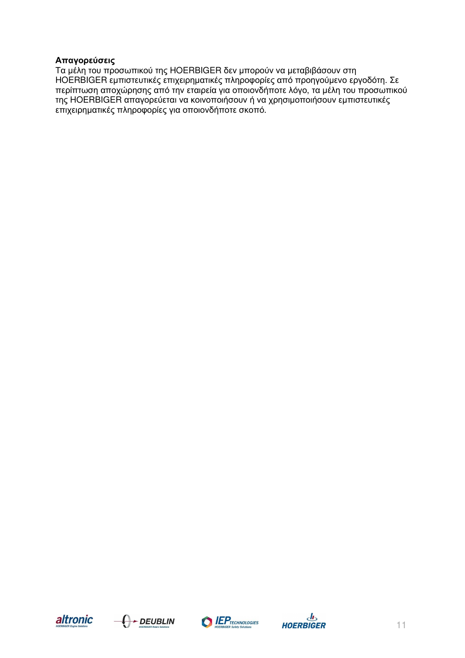# **Απαγορεύσεις**

Τα μέλη του προσωπικού της HOERBIGER δεν μπορούν να μεταβιβάσουν στη HOERBIGER εμπιστευτικές επιχειρηματικές πληροφορίες από προηγούμενο εργοδότη. Σε περίπτωση αποχώρησης από την εταιρεία για οποιονδήποτε λόγο, τα μέλη του προσωπικού της HOERBIGER απαγορεύεται να κοινοποιήσουν ή να χρησιμοποιήσουν εμπιστευτικές επιχειρηματικές πληροφορίες για οποιονδήποτε σκοπό.







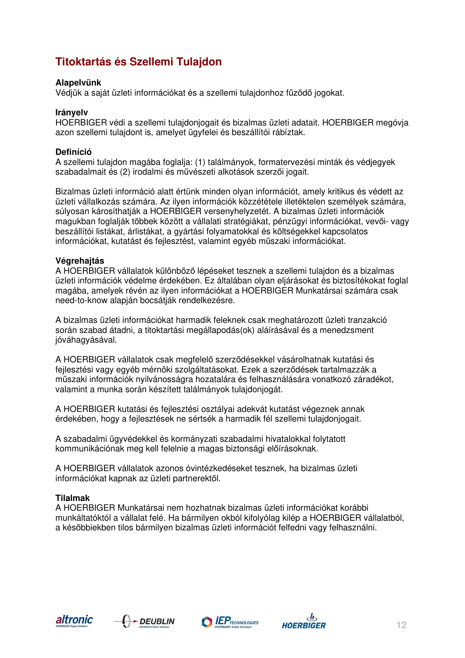# **Titoktartás és Szellemi Tulajdon**

# **Alapelvünk**

Védjük a saját üzleti információkat és a szellemi tulajdonhoz fűződő jogokat.

# **Irányelv**

HOERBIGER védi a szellemi tulajdonjogait és bizalmas üzleti adatait. HOERBIGER megóvja azon szellemi tulajdont is, amelyet ügyfelei és beszállítói rábíztak.

# **Definíció**

A szellemi tulajdon magába foglalja: (1) találmányok, formatervezési minták és védjegyek szabadalmait és (2) irodalmi és művészeti alkotások szerzői jogait.

Bizalmas üzleti információ alatt értünk minden olyan információt, amely kritikus és védett az üzleti vállalkozás számára. Az ilyen információk közzététele illetéktelen személyek számára, súlyosan károsíthatják a HOERBIGER versenyhelyzetét. A bizalmas üzleti információk magukban foglalják többek között a vállalati stratégiákat, pénzügyi információkat, vevői- vagy beszállítói listákat, árlistákat, a gyártási folyamatokkal és költségekkel kapcsolatos információkat, kutatást és fejlesztést, valamint egyéb műszaki információkat.

# **Végrehajtás**

A HOERBIGER vállalatok különböző lépéseket tesznek a szellemi tulajdon és a bizalmas üzleti információk védelme érdekében. Ez általában olyan eljárásokat és biztosítékokat foglal magába, amelyek révén az ilyen információkat a HOERBIGER Munkatársai számára csak need-to-know alapján bocsátják rendelkezésre.

A bizalmas üzleti információkat harmadik feleknek csak meghatározott üzleti tranzakció során szabad átadni, a titoktartási megállapodás(ok) aláírásával és a menedzsment jóváhagyásával.

A HOERBIGER vállalatok csak megfelelő szerződésekkel vásárolhatnak kutatási és fejlesztési vagy egyéb mérnöki szolgáltatásokat. Ezek a szerződések tartalmazzák a műszaki információk nyilvánosságra hozatalára és felhasználására vonatkozó záradékot, valamint a munka során készített találmányok tulajdonjogát.

A HOERBIGER kutatási és fejlesztési osztályai adekvát kutatást végeznek annak érdekében, hogy a fejlesztések ne sértsék a harmadik fél szellemi tulajdonjogait.

A szabadalmi ügyvédekkel és kormányzati szabadalmi hivatalokkal folytatott kommunikációnak meg kell felelnie a magas biztonsági előírásoknak.

A HOERBIGER vállalatok azonos óvintézkedéseket tesznek, ha bizalmas üzleti információkat kapnak az üzleti partnerektől.

# **Tilalmak**

A HOERBIGER Munkatársai nem hozhatnak bizalmas üzleti információkat korábbi munkáltatóktól a vállalat felé. Ha bármilyen okból kifolyólag kilép a HOERBIGER vállalatból, a későbbiekben tilos bármilyen bizalmas üzleti információt felfedni vagy felhasználni.







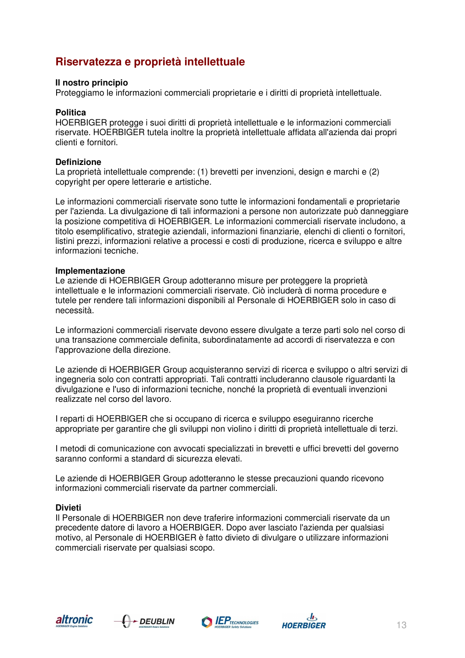# **Riservatezza e proprietà intellettuale**

#### **Il nostro principio**

Proteggiamo le informazioni commerciali proprietarie e i diritti di proprietà intellettuale.

#### **Politica**

HOERBIGER protegge i suoi diritti di proprietà intellettuale e le informazioni commerciali riservate. HOERBIGER tutela inoltre la proprietà intellettuale affidata all'azienda dai propri clienti e fornitori.

#### **Definizione**

La proprietà intellettuale comprende: (1) brevetti per invenzioni, design e marchi e (2) copyright per opere letterarie e artistiche.

Le informazioni commerciali riservate sono tutte le informazioni fondamentali e proprietarie per l'azienda. La divulgazione di tali informazioni a persone non autorizzate può danneggiare la posizione competitiva di HOERBIGER. Le informazioni commerciali riservate includono, a titolo esemplificativo, strategie aziendali, informazioni finanziarie, elenchi di clienti o fornitori, listini prezzi, informazioni relative a processi e costi di produzione, ricerca e sviluppo e altre informazioni tecniche.

#### **Implementazione**

Le aziende di HOERBIGER Group adotteranno misure per proteggere la proprietà intellettuale e le informazioni commerciali riservate. Ciò includerà di norma procedure e tutele per rendere tali informazioni disponibili al Personale di HOERBIGER solo in caso di necessità.

Le informazioni commerciali riservate devono essere divulgate a terze parti solo nel corso di una transazione commerciale definita, subordinatamente ad accordi di riservatezza e con l'approvazione della direzione.

Le aziende di HOERBIGER Group acquisteranno servizi di ricerca e sviluppo o altri servizi di ingegneria solo con contratti appropriati. Tali contratti includeranno clausole riguardanti la divulgazione e l'uso di informazioni tecniche, nonché la proprietà di eventuali invenzioni realizzate nel corso del lavoro.

I reparti di HOERBIGER che si occupano di ricerca e sviluppo eseguiranno ricerche appropriate per garantire che gli sviluppi non violino i diritti di proprietà intellettuale di terzi.

I metodi di comunicazione con avvocati specializzati in brevetti e uffici brevetti del governo saranno conformi a standard di sicurezza elevati.

Le aziende di HOERBIGER Group adotteranno le stesse precauzioni quando ricevono informazioni commerciali riservate da partner commerciali.

#### **Divieti**

Il Personale di HOERBIGER non deve traferire informazioni commerciali riservate da un precedente datore di lavoro a HOERBIGER. Dopo aver lasciato l'azienda per qualsiasi motivo, al Personale di HOERBIGER è fatto divieto di divulgare o utilizzare informazioni commerciali riservate per qualsiasi scopo.







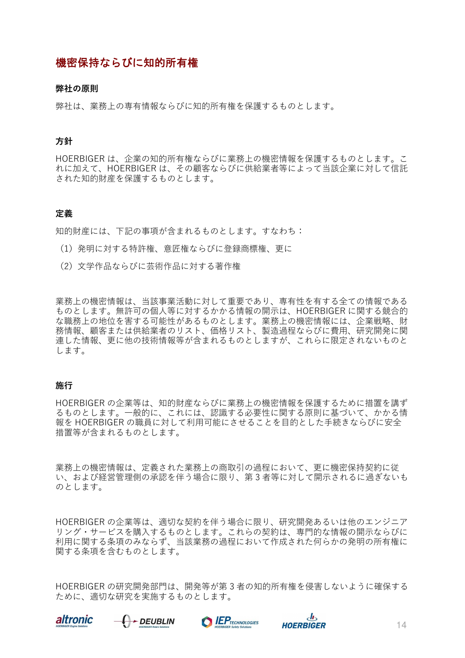# 機密保持ならびに知的所有権

#### **弊社の原則**

弊社は、業務上の専有情報ならびに知的所有権を保護するものとします。

#### **方針**

HOERBIGER は、企業の知的所有権ならびに業務上の機密情報を保護するものとします。こ れに加えて、HOERBIGER は、その顧客ならびに供給業者等によって当該企業に対して信託 された知的財産を保護するものとします。

#### **定義**

知的財産には、下記の事項が含まれるものとします。すなわち:

- (1)発明に対する特許権、意匠権ならびに登録商標権、更に
- (2)文学作品ならびに芸術作品に対する著作権

業務上の機密情報は、当該事業活動に対して重要であり、専有性を有する全ての情報である ものとします。無許可の個人等に対するかかる情報の開示は、HOERBIGER に関する競合的 な職務上の地位を害する可能性があるものとします。業務上の機密情報には、企業戦略、財 務情報、顧客または供給業者のリスト、価格リスト、製造過程ならびに費用、研究開発に関 連した情報、更に他の技術情報等が含まれるものとしますが、これらに限定されないものと します。

#### **施行**

HOERBIGER の企業等は、知的財産ならびに業務上の機密情報を保護するために措置を講ず るものとします。一般的に、これには、認識する必要性に関する原則に基づいて、かかる情 報を HOERBIGER の職員に対して利用可能にさせることを目的とした手続きならびに安全 措置等が含まれるものとします。

業務上の機密情報は、定義された業務上の商取引の過程において、更に機密保持契約に従 い、および経営管理側の承認を伴う場合に限り、第 3 者等に対して開示されるに過ぎないも のとします。

HOERBIGER の企業等は、適切な契約を伴う場合に限り、研究開発あるいは他のエンジニア リング・サービスを購入するものとします。これらの契約は、専門的な情報の開示ならびに 利用に関する条項のみならず、当該業務の過程において作成された何らかの発明の所有権に 関する条項を含むものとします。

HOERBIGER の研究開発部門は、開発等が第 3 者の知的所有権を侵害しないように確保する ために、適切な研究を実施するものとします。







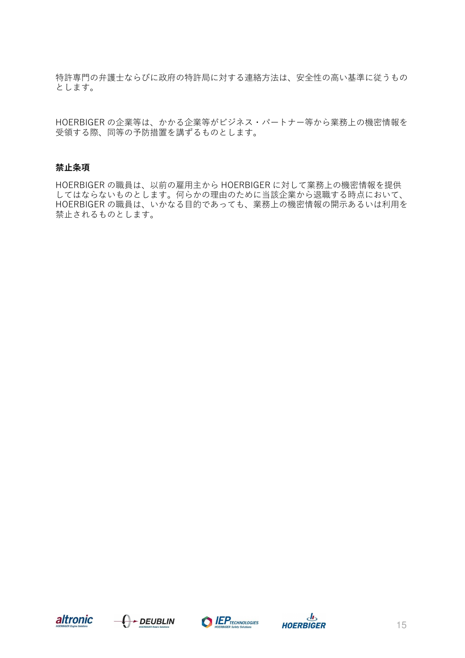特許専門の弁護士ならびに政府の特許局に対する連絡方法は、安全性の高い基準に従うもの とします。

HOERBIGER の企業等は、かかる企業等がビジネス・パートナー等から業務上の機密情報を 受領する際、同等の予防措置を講ずるものとします。

#### **禁止条項**

HOERBIGER の職員は、以前の雇用主から HOERBIGER に対して業務上の機密情報を提供 してはならないものとします。何らかの理由のために当該企業から退職する時点において、 HOERBIGER の職員は、いかなる目的であっても、業務上の機密情報の開示あるいは利用を 禁止されるものとします。







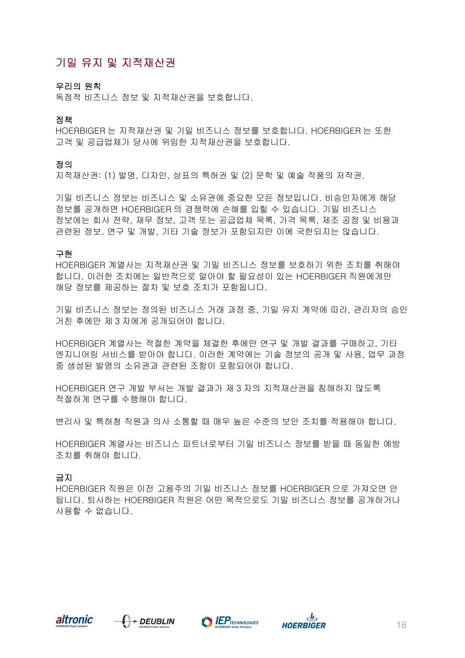# 기밀 유지 및 지적재산권

#### 우리의 원칙

독점적 비즈니스 정보 및 지적재산권을 보호합니다.

#### 정책

HOERBIGER 는 지적재산권 및 기밀 비즈니스 정보를 보호합니다. HOERBIGER 는 또한 고객 및 공급업체가 당사에 위임한 지적재산권을 보호합니다.

#### 정의

지적재산권: (1) 발명, 디자인, 상표의 특허권 및 (2) 문학 및 예술 작품의 저작권.

기밀 비즈니스 정보는 비즈니스 및 소유권에 중요한 모든 정보입니다. 비승인자에게 해당 정보를 공개하면 HOERBIGER 의 경쟁력에 손해를 입힐 수 있습니다. 기밀 비즈니스 정보에는 회사 전략, 재무 정보, 고객 또는 공급업체 목록, 가격 목록, 제조 공정 및 비용과 관련된 정보, 연구 및 개발, 기타 기술 정보가 포함되지만 이에 국한되지는 않습니다.

### 구현

HOERBIGER 계열사는 지적재산권 및 기밀 비즈니스 정보를 보호하기 위한 조치를 취해야 합니다. 이러한 조치에는 일반적으로 알아야 할 필요성이 있는 HOERBIGER 직원에게만 해당 정보를 제공하는 절차 및 보호 조치가 포함됩니다.

기밀 비즈니스 정보는 정의된 비즈니스 거래 과정 중, 기밀 유지 계약에 따라, 관리자의 승인 거친 후에만 제 3 자에게 공개되어야 합니다.

HOERBIGER 계열사는 적절한 계약을 체결한 후에만 연구 및 개발 결과를 구매하고, 기타 엔지니어링 서비스를 받아야 합니다. 이러한 계약에는 기술 정보의 공개 및 사용, 업무 과정 중 생성된 발명의 소유권과 관련된 조항이 포함되어야 합니다.

HOERBIGER 연구 개발 부서는 개발 결과가 제 3 자의 지적재산권을 침해하지 않도록 적절하게 연구를 수행해야 합니다.

변리사 및 특허청 직원과 의사 소통할 때 매우 높은 수준의 보안 조치를 적용해야 합니다.

HOERBIGER 계열사는 비즈니스 파트너로부터 기밀 비즈니스 정보를 받을 때 동일한 예방 조치를 취해야 합니다.

#### 금지

HOERBIGER 직원은 이전 고용주의 기밀 비즈니스 정보를 HOERBIGER 으로 가져오면 안 됩니다. 퇴사하는 HOERBIGER 직원은 어떤 목적으로도 기밀 비즈니스 정보를 공개하거나 사용할 수 없습니다.







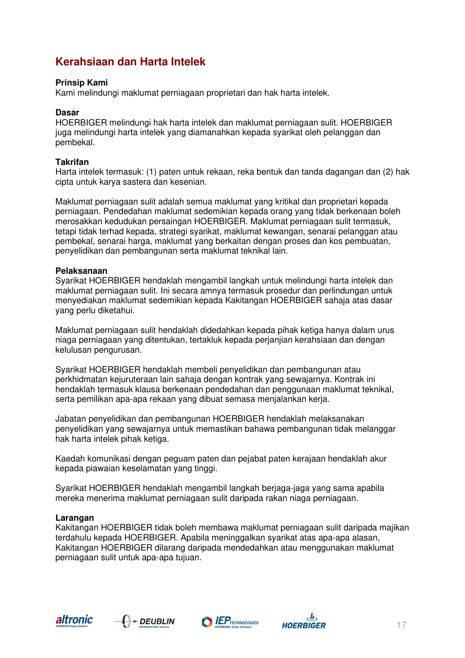# **Kerahsiaan dan Harta Intelek**

#### **Prinsip Kami**

Kami melindungi maklumat perniagaan proprietari dan hak harta intelek.

#### **Dasar**

HOERBIGER melindungi hak harta intelek dan maklumat perniagaan sulit. HOERBIGER juga melindungi harta intelek yang diamanahkan kepada syarikat oleh pelanggan dan pembekal.

#### **Takrifan**

Harta intelek termasuk: (1) paten untuk rekaan, reka bentuk dan tanda dagangan dan (2) hak cipta untuk karya sastera dan kesenian.

Maklumat perniagaan sulit adalah semua maklumat yang kritikal dan proprietari kepada perniagaan. Pendedahan maklumat sedemikian kepada orang yang tidak berkenaan boleh merosakkan kedudukan persaingan HOERBIGER. Maklumat perniagaan sulit termasuk, tetapi tidak terhad kepada, strategi syarikat, maklumat kewangan, senarai pelanggan atau pembekal, senarai harga, maklumat yang berkaitan dengan proses dan kos pembuatan, penyelidikan dan pembangunan serta maklumat teknikal lain.

#### **Pelaksanaan**

Syarikat HOERBIGER hendaklah mengambil langkah untuk melindungi harta intelek dan maklumat perniagaan sulit. Ini secara amnya termasuk prosedur dan perlindungan untuk menyediakan maklumat sedemikian kepada Kakitangan HOERBIGER sahaja atas dasar yang perlu diketahui.

Maklumat perniagaan sulit hendaklah didedahkan kepada pihak ketiga hanya dalam urus niaga perniagaan yang ditentukan, tertakluk kepada perjanjian kerahsiaan dan dengan kelulusan pengurusan.

Syarikat HOERBIGER hendaklah membeli penyelidikan dan pembangunan atau perkhidmatan kejuruteraan lain sahaja dengan kontrak yang sewajarnya. Kontrak ini hendaklah termasuk klausa berkenaan pendedahan dan penggunaan maklumat teknikal, serta pemilikan apa-apa rekaan yang dibuat semasa menjalankan kerja.

Jabatan penyelidikan dan pembangunan HOERBIGER hendaklah melaksanakan penyelidikan yang sewajarnya untuk memastikan bahawa pembangunan tidak melanggar hak harta intelek pihak ketiga.

Kaedah komunikasi dengan peguam paten dan pejabat paten kerajaan hendaklah akur kepada piawaian keselamatan yang tinggi.

Syarikat HOERBIGER hendaklah mengambil langkah berjaga-jaga yang sama apabila mereka menerima maklumat perniagaan sulit daripada rakan niaga perniagaan.

#### **Larangan**

Kakitangan HOERBIGER tidak boleh membawa maklumat perniagaan sulit daripada majikan terdahulu kepada HOERBIGER. Apabila meninggalkan syarikat atas apa-apa alasan, Kakitangan HOERBIGER dilarang daripada mendedahkan atau menggunakan maklumat perniagaan sulit untuk apa-apa tujuan.







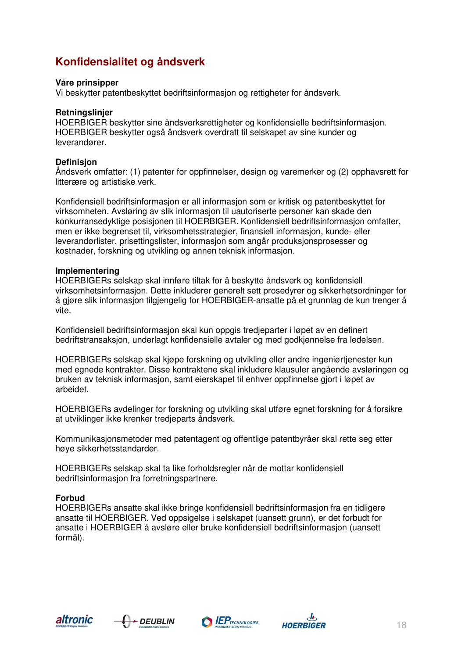# **Konfidensialitet og åndsverk**

#### **Våre prinsipper**

Vi beskytter patentbeskyttet bedriftsinformasjon og rettigheter for åndsverk.

#### **Retningslinjer**

HOERBIGER beskytter sine åndsverksrettigheter og konfidensielle bedriftsinformasjon. HOERBIGER beskytter også åndsverk overdratt til selskapet av sine kunder og leverandører.

### **Definisjon**

Åndsverk omfatter: (1) patenter for oppfinnelser, design og varemerker og (2) opphavsrett for litterære og artistiske verk.

Konfidensiell bedriftsinformasjon er all informasjon som er kritisk og patentbeskyttet for virksomheten. Avsløring av slik informasjon til uautoriserte personer kan skade den konkurransedyktige posisjonen til HOERBIGER. Konfidensiell bedriftsinformasjon omfatter, men er ikke begrenset til, virksomhetsstrategier, finansiell informasjon, kunde- eller leverandørlister, prisettingslister, informasjon som angår produksjonsprosesser og kostnader, forskning og utvikling og annen teknisk informasjon.

#### **Implementering**

HOERBIGERs selskap skal innføre tiltak for å beskytte åndsverk og konfidensiell virksomhetsinformasjon. Dette inkluderer generelt sett prosedyrer og sikkerhetsordninger for å gjøre slik informasjon tilgjengelig for HOERBIGER-ansatte på et grunnlag de kun trenger å vite.

Konfidensiell bedriftsinformasjon skal kun oppgis tredjeparter i løpet av en definert bedriftstransaksjon, underlagt konfidensielle avtaler og med godkjennelse fra ledelsen.

HOERBIGERs selskap skal kjøpe forskning og utvikling eller andre ingeniørtjenester kun med egnede kontrakter. Disse kontraktene skal inkludere klausuler angående avsløringen og bruken av teknisk informasjon, samt eierskapet til enhver oppfinnelse gjort i løpet av arbeidet.

HOERBIGERs avdelinger for forskning og utvikling skal utføre egnet forskning for å forsikre at utviklinger ikke krenker tredjeparts åndsverk.

Kommunikasjonsmetoder med patentagent og offentlige patentbyråer skal rette seg etter høye sikkerhetsstandarder.

HOERBIGERs selskap skal ta like forholdsregler når de mottar konfidensiell bedriftsinformasjon fra forretningspartnere.

## **Forbud**

HOERBIGERs ansatte skal ikke bringe konfidensiell bedriftsinformasjon fra en tidligere ansatte til HOERBIGER. Ved oppsigelse i selskapet (uansett grunn), er det forbudt for ansatte i HOERBIGER å avsløre eller bruke konfidensiell bedriftsinformasjon (uansett formål).







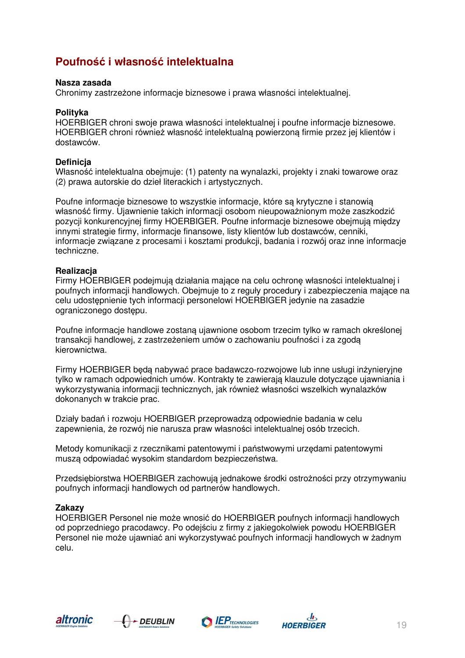# **Poufność i własność intelektualna**

#### **Nasza zasada**

Chronimy zastrzeżone informacje biznesowe i prawa własności intelektualnej.

#### **Polityka**

HOERBIGER chroni swoje prawa własności intelektualnej i poufne informacje biznesowe. HOERBIGER chroni również własność intelektualną powierzoną firmie przez jej klientów i dostawców.

#### **Definicja**

Własność intelektualna obejmuje: (1) patenty na wynalazki, projekty i znaki towarowe oraz (2) prawa autorskie do dzieł literackich i artystycznych.

Poufne informacje biznesowe to wszystkie informacje, które są krytyczne i stanowią własność firmy. Ujawnienie takich informacji osobom nieupoważnionym może zaszkodzić pozycji konkurencyjnej firmy HOERBIGER. Poufne informacje biznesowe obejmują między innymi strategie firmy, informacje finansowe, listy klientów lub dostawców, cenniki, informacje związane z procesami i kosztami produkcji, badania i rozwój oraz inne informacje techniczne.

#### **Realizacja**

Firmy HOERBIGER podejmują działania mające na celu ochronę własności intelektualnej i poufnych informacji handlowych. Obejmuje to z reguły procedury i zabezpieczenia mające na celu udostępnienie tych informacji personelowi HOERBIGER jedynie na zasadzie ograniczonego dostępu.

Poufne informacje handlowe zostaną ujawnione osobom trzecim tylko w ramach określonej transakcji handlowej, z zastrzeżeniem umów o zachowaniu poufności i za zgodą kierownictwa.

Firmy HOERBIGER będą nabywać prace badawczo-rozwojowe lub inne usługi inżynieryjne tylko w ramach odpowiednich umów. Kontrakty te zawierają klauzule dotyczące ujawniania i wykorzystywania informacji technicznych, jak również własności wszelkich wynalazków dokonanych w trakcie prac.

Działy badań i rozwoju HOERBIGER przeprowadzą odpowiednie badania w celu zapewnienia, że rozwój nie narusza praw własności intelektualnej osób trzecich.

Metody komunikacji z rzecznikami patentowymi i państwowymi urzędami patentowymi muszą odpowiadać wysokim standardom bezpieczeństwa.

Przedsiębiorstwa HOERBIGER zachowują jednakowe środki ostrożności przy otrzymywaniu poufnych informacji handlowych od partnerów handlowych.

## **Zakazy**

HOERBIGER Personel nie może wnosić do HOERBIGER poufnych informacji handlowych od poprzedniego pracodawcy. Po odejściu z firmy z jakiegokolwiek powodu HOERBIGER Personel nie może ujawniać ani wykorzystywać poufnych informacji handlowych w żadnym celu.







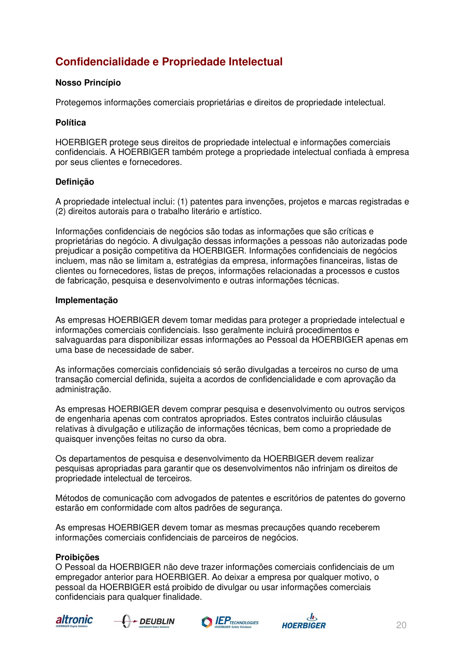# **Confidencialidade e Propriedade Intelectual**

# **Nosso Princípio**

Protegemos informações comerciais proprietárias e direitos de propriedade intelectual.

# **Política**

HOERBIGER protege seus direitos de propriedade intelectual e informações comerciais confidenciais. A HOERBIGER também protege a propriedade intelectual confiada à empresa por seus clientes e fornecedores.

# **Definição**

A propriedade intelectual inclui: (1) patentes para invenções, projetos e marcas registradas e (2) direitos autorais para o trabalho literário e artístico.

Informações confidenciais de negócios são todas as informações que são críticas e proprietárias do negócio. A divulgação dessas informações a pessoas não autorizadas pode prejudicar a posição competitiva da HOERBIGER. Informações confidenciais de negócios incluem, mas não se limitam a, estratégias da empresa, informações financeiras, listas de clientes ou fornecedores, listas de preços, informações relacionadas a processos e custos de fabricação, pesquisa e desenvolvimento e outras informações técnicas.

## **Implementação**

As empresas HOERBIGER devem tomar medidas para proteger a propriedade intelectual e informações comerciais confidenciais. Isso geralmente incluirá procedimentos e salvaguardas para disponibilizar essas informações ao Pessoal da HOERBIGER apenas em uma base de necessidade de saber.

As informações comerciais confidenciais só serão divulgadas a terceiros no curso de uma transação comercial definida, sujeita a acordos de confidencialidade e com aprovação da administração.

As empresas HOERBIGER devem comprar pesquisa e desenvolvimento ou outros serviços de engenharia apenas com contratos apropriados. Estes contratos incluirão cláusulas relativas à divulgação e utilização de informações técnicas, bem como a propriedade de quaisquer invenções feitas no curso da obra.

Os departamentos de pesquisa e desenvolvimento da HOERBIGER devem realizar pesquisas apropriadas para garantir que os desenvolvimentos não infrinjam os direitos de propriedade intelectual de terceiros.

Métodos de comunicação com advogados de patentes e escritórios de patentes do governo estarão em conformidade com altos padrões de segurança.

As empresas HOERBIGER devem tomar as mesmas precauções quando receberem informações comerciais confidenciais de parceiros de negócios.

# **Proibições**

O Pessoal da HOERBIGER não deve trazer informações comerciais confidenciais de um empregador anterior para HOERBIGER. Ao deixar a empresa por qualquer motivo, o pessoal da HOERBIGER está proibido de divulgar ou usar informações comerciais confidenciais para qualquer finalidade.







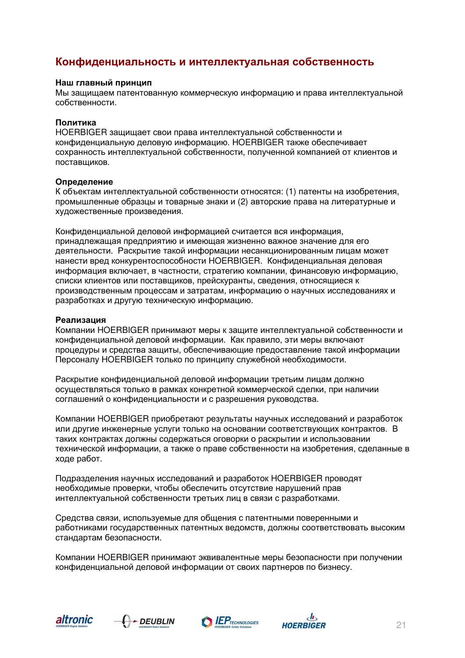# **Конфиденциальность и интеллектуальная собственность**

#### **Наш главный принцип**

Мы защищаем патентованную коммерческую информацию и права интеллектуальной собственности.

#### **Политика**

HOERBIGER защищает свои права интеллектуальной собственности и конфиденциальную деловую информацию. HOERBIGER также обеспечивает сохранность интеллектуальной собственности, полученной компанией от клиентов и поставщиков.

#### **Определение**

К объектам интеллектуальной собственности относятся: (1) патенты на изобретения, промышленные образцы и товарные знаки и (2) авторские права на литературные и художественные произведения.

Конфиденциальной деловой информацией считается вся информация, принадлежащая предприятию и имеющая жизненно важное значение для его деятельности. Раскрытие такой информации несанкционированным лицам может нанести вред конкурентоспособности HOERBIGER. Конфиденциальная деловая информация включает, в частности, стратегию компании, финансовую информацию, списки клиентов или поставщиков, прейскуранты, сведения, относящиеся к производственным процессам и затратам, информацию о научных исследованиях и разработках и другую техническую информацию.

#### **Реализация**

Компании HOERBIGER принимают меры к защите интеллектуальной собственности и конфиденциальной деловой информации. Как правило, эти меры включают процедуры и средства защиты, обеспечивающие предоставление такой информации Персоналу HOERBIGER только по принципу служебной необходимости.

Раскрытие конфиденциальной деловой информации третьим лицам должно осуществляться только в рамках конкретной коммерческой сделки, при наличии соглашений о конфиденциальности и с разрешения руководства.

Компании HOERBIGER приобретают результаты научных исследований и разработок или другие инженерные услуги только на основании соответствующих контрактов. В таких контрактах должны содержаться оговорки о раскрытии и использовании технической информации, а также о праве собственности на изобретения, сделанные в ходе работ.

Подразделения научных исследований и разработок HOERBIGER проводят необходимые проверки, чтобы обеспечить отсутствие нарушений прав интеллектуальной собственности третьих лиц в связи с разработками.

Средства связи, используемые для общения с патентными поверенными и работниками государственных патентных ведомств, должны соответствовать высоким стандартам безопасности.

Компании HOERBIGER принимают эквивалентные меры безопасности при получении конфиденциальной деловой информации от своих партнеров по бизнесу.







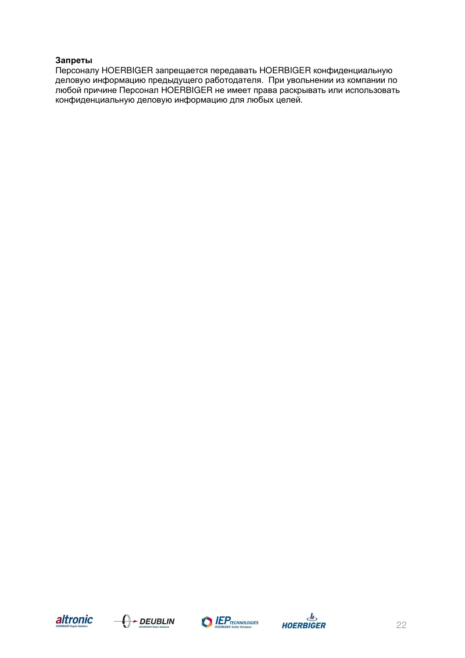# **Запреты**

Персоналу HOERBIGER запрещается передавать HOERBIGER конфиденциальную деловую информацию предыдущего работодателя. При увольнении из компании по любой причине Персонал HOERBIGER не имеет права раскрывать или использовать конфиденциальную деловую информацию для любых целей.







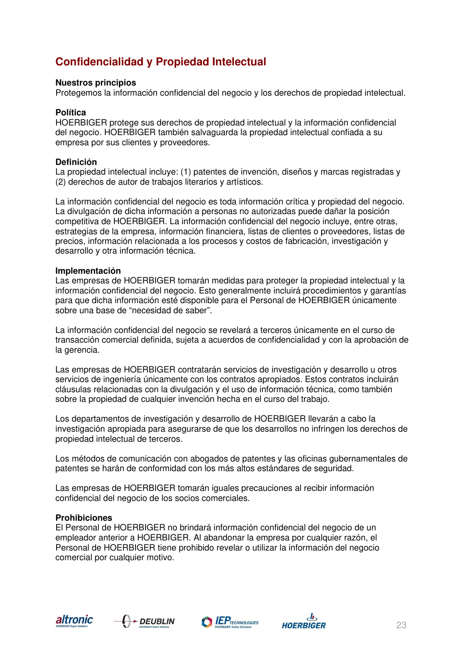# **Confidencialidad y Propiedad Intelectual**

## **Nuestros principios**

Protegemos la información confidencial del negocio y los derechos de propiedad intelectual.

#### **Política**

HOERBIGER protege sus derechos de propiedad intelectual y la información confidencial del negocio. HOERBIGER también salvaguarda la propiedad intelectual confiada a su empresa por sus clientes y proveedores.

#### **Definición**

La propiedad intelectual incluye: (1) patentes de invención, diseños y marcas registradas y (2) derechos de autor de trabajos literarios y artísticos.

La información confidencial del negocio es toda información crítica y propiedad del negocio. La divulgación de dicha información a personas no autorizadas puede dañar la posición competitiva de HOERBIGER. La información confidencial del negocio incluye, entre otras, estrategias de la empresa, información financiera, listas de clientes o proveedores, listas de precios, información relacionada a los procesos y costos de fabricación, investigación y desarrollo y otra información técnica.

#### **Implementación**

Las empresas de HOERBIGER tomarán medidas para proteger la propiedad intelectual y la información confidencial del negocio. Esto generalmente incluirá procedimientos y garantías para que dicha información esté disponible para el Personal de HOERBIGER únicamente sobre una base de "necesidad de saber".

La información confidencial del negocio se revelará a terceros únicamente en el curso de transacción comercial definida, sujeta a acuerdos de confidencialidad y con la aprobación de la gerencia.

Las empresas de HOERBIGER contratarán servicios de investigación y desarrollo u otros servicios de ingeniería únicamente con los contratos apropiados. Estos contratos incluirán cláusulas relacionadas con la divulgación y el uso de información técnica, como también sobre la propiedad de cualquier invención hecha en el curso del trabajo.

Los departamentos de investigación y desarrollo de HOERBIGER llevarán a cabo la investigación apropiada para asegurarse de que los desarrollos no infringen los derechos de propiedad intelectual de terceros.

Los métodos de comunicación con abogados de patentes y las oficinas gubernamentales de patentes se harán de conformidad con los más altos estándares de seguridad.

Las empresas de HOERBIGER tomarán iguales precauciones al recibir información confidencial del negocio de los socios comerciales.

#### **Prohibiciones**

El Personal de HOERBIGER no brindará información confidencial del negocio de un empleador anterior a HOERBIGER. Al abandonar la empresa por cualquier razón, el Personal de HOERBIGER tiene prohibido revelar o utilizar la información del negocio comercial por cualquier motivo.







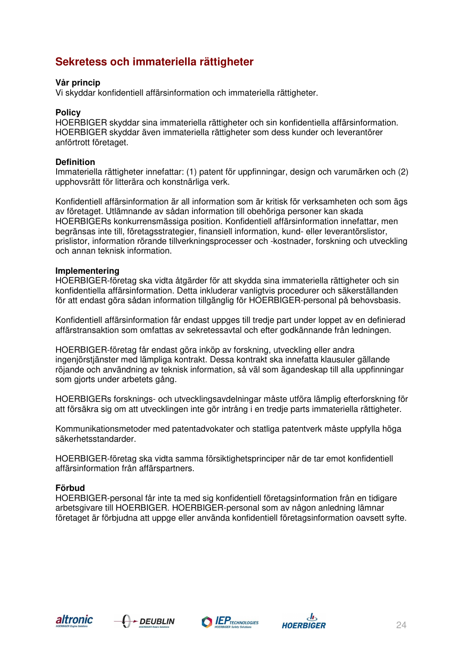# **Sekretess och immateriella rättigheter**

# **Vår princip**

Vi skyddar konfidentiell affärsinformation och immateriella rättigheter.

# **Policy**

HOERBIGER skyddar sina immateriella rättigheter och sin konfidentiella affärsinformation. HOERBIGER skyddar även immateriella rättigheter som dess kunder och leverantörer anförtrott företaget.

# **Definition**

Immateriella rättigheter innefattar: (1) patent för uppfinningar, design och varumärken och (2) upphovsrätt för litterära och konstnärliga verk.

Konfidentiell affärsinformation är all information som är kritisk för verksamheten och som ägs av företaget. Utlämnande av sådan information till obehöriga personer kan skada HOERBIGERs konkurrensmässiga position. Konfidentiell affärsinformation innefattar, men begränsas inte till, företagsstrategier, finansiell information, kund- eller leverantörslistor, prislistor, information rörande tillverkningsprocesser och -kostnader, forskning och utveckling och annan teknisk information.

## **Implementering**

HOERBIGER-företag ska vidta åtgärder för att skydda sina immateriella rättigheter och sin konfidentiella affärsinformation. Detta inkluderar vanligtvis procedurer och säkerställanden för att endast göra sådan information tillgänglig för HOERBIGER-personal på behovsbasis.

Konfidentiell affärsinformation får endast uppges till tredje part under loppet av en definierad affärstransaktion som omfattas av sekretessavtal och efter godkännande från ledningen.

HOERBIGER-företag får endast göra inköp av forskning, utveckling eller andra ingenjörstjänster med lämpliga kontrakt. Dessa kontrakt ska innefatta klausuler gällande röjande och användning av teknisk information, så väl som ägandeskap till alla uppfinningar som gjorts under arbetets gång.

HOERBIGERs forsknings- och utvecklingsavdelningar måste utföra lämplig efterforskning för att försäkra sig om att utvecklingen inte gör intrång i en tredje parts immateriella rättigheter.

Kommunikationsmetoder med patentadvokater och statliga patentverk måste uppfylla höga säkerhetsstandarder.

HOERBIGER-företag ska vidta samma försiktighetsprinciper när de tar emot konfidentiell affärsinformation från affärspartners.

# **Förbud**

HOERBIGER-personal får inte ta med sig konfidentiell företagsinformation från en tidigare arbetsgivare till HOERBIGER. HOERBIGER-personal som av någon anledning lämnar företaget är förbjudna att uppge eller använda konfidentiell företagsinformation oavsett syfte.







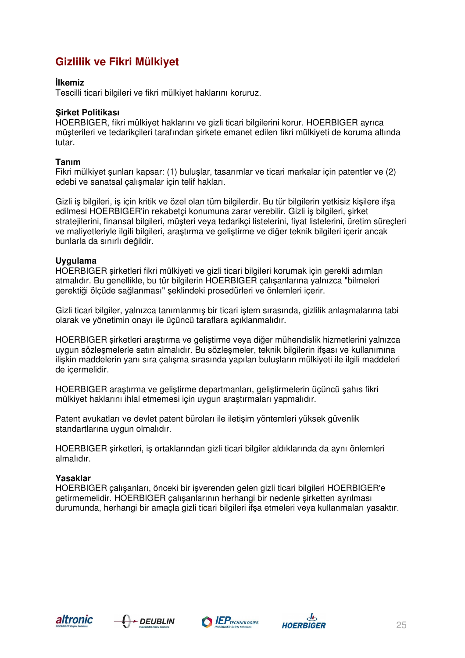# **Gizlilik ve Fikri Mülkiyet**

# **İlkemiz**

Tescilli ticari bilgileri ve fikri mülkiyet haklarını koruruz.

## **Şirket Politikası**

HOERBIGER, fikri mülkiyet haklarını ve gizli ticari bilgilerini korur. HOERBIGER ayrıca müşterileri ve tedarikçileri tarafından şirkete emanet edilen fikri mülkiyeti de koruma altında tutar.

## **Tanım**

Fikri mülkiyet şunları kapsar: (1) buluşlar, tasarımlar ve ticari markalar için patentler ve (2) edebi ve sanatsal çalışmalar için telif hakları.

Gizli iş bilgileri, iş için kritik ve özel olan tüm bilgilerdir. Bu tür bilgilerin yetkisiz kişilere ifşa edilmesi HOERBIGER'in rekabetçi konumuna zarar verebilir. Gizli iş bilgileri, şirket stratejilerini, finansal bilgileri, müşteri veya tedarikçi listelerini, fiyat listelerini, üretim süreçleri ve maliyetleriyle ilgili bilgileri, araştırma ve geliştirme ve diğer teknik bilgileri içerir ancak bunlarla da sınırlı değildir.

# **Uygulama**

HOERBIGER şirketleri fikri mülkiyeti ve gizli ticari bilgileri korumak için gerekli adımları atmalıdır. Bu genellikle, bu tür bilgilerin HOERBIGER çalışanlarına yalnızca "bilmeleri gerektiği ölçüde sağlanması" şeklindeki prosedürleri ve önlemleri içerir.

Gizli ticari bilgiler, yalnızca tanımlanmış bir ticari işlem sırasında, gizlilik anlaşmalarına tabi olarak ve yönetimin onayı ile üçüncü taraflara açıklanmalıdır.

HOERBIGER şirketleri araştırma ve geliştirme veya diğer mühendislik hizmetlerini yalnızca uygun sözleşmelerle satın almalıdır. Bu sözleşmeler, teknik bilgilerin ifşası ve kullanımına ilişkin maddelerin yanı sıra çalışma sırasında yapılan buluşların mülkiyeti ile ilgili maddeleri de içermelidir.

HOERBIGER araştırma ve geliştirme departmanları, geliştirmelerin üçüncü şahıs fikri mülkiyet haklarını ihlal etmemesi için uygun araştırmaları yapmalıdır.

Patent avukatları ve devlet patent büroları ile iletişim yöntemleri yüksek güvenlik standartlarına uygun olmalıdır.

HOERBIGER şirketleri, iş ortaklarından gizli ticari bilgiler aldıklarında da aynı önlemleri almalıdır.

## **Yasaklar**

HOERBIGER çalışanları, önceki bir işverenden gelen gizli ticari bilgileri HOERBIGER'e getirmemelidir. HOERBIGER çalışanlarının herhangi bir nedenle şirketten ayrılması durumunda, herhangi bir amaçla gizli ticari bilgileri ifşa etmeleri veya kullanmaları yasaktır.







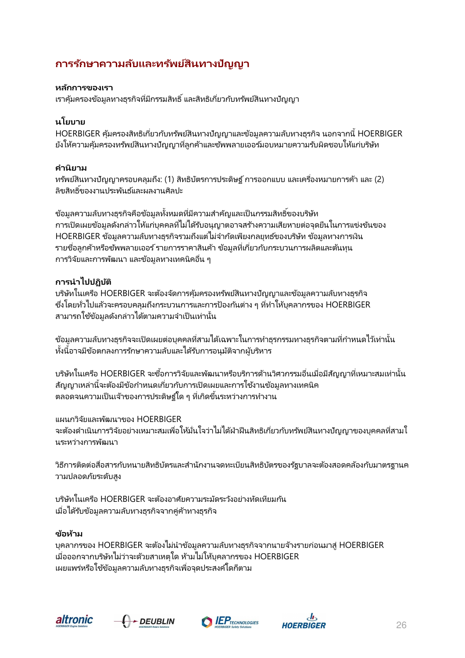# **การรักษาความลับและทรัพย์สินทางปัญญา**

# **หลักการของเรา**

เราคุ้มครองข้อมูลทางธุรกิจที่มีกรรมสิทธิ์ และสิทธิเกี่ยวกับทรัพย์สินทางปัญญา

# **นโยบาย**

HOERBIGER คุ้มครองสิทธิเกี่ยวกับทรัพย์สินทางปัญญาและข้อมูลความลับทางธุรกิจ นอกจากนี้ HOERBIGER ยังให้ความคุ้มครองทรัพย์สินทางปัญญาที่ลูกค้าและซัพพลายเออร์มอบหมายความรับผิดชอบให้แก่บริษัท

# **คํานิยาม**

ทรัพย์สินทางปัญญาครอบคลุมถึง: (1) สิทธิบัตรการประดิษฐ ์ การออกแบบ และเครืองหมายการค้า และ (2) ์ ลิขสิทธิ์ของงานประพันธ์และผลงานศิลปะ

ข้อมูลความลับทางธุรกิจคือข้อมูลทั้งหมดที่มีความสำคัญและเป็นกรรมสิทธิ์ของบริษัท การเปิดเผยข้อมูลดังกล่าวให้แก่บุคคลที่ไม่ได้รับอนุญาตอาจสร้างความเสียหายต่อจุดยืนในการแข่งขันของ HOERBIGER ข้อมูลความลับทางธุรกิจรวมถึงแต่ไม่จำกัดเพียงกลยุทธ์ของบริษัท ข้อมูลทางการเงิน รายชื่อลูกค้าหรือซัพพลายเออร์ รายการราคาสินค้า ข้อมูลที่เกี่ยวกับกระบวนการผลิตและต้นทุน การวิจัยและการพัฒนา และข้อมูลทางเทคนิคอืน ๆ

# **การนําไปปฏิบัติ**

บริษัทในเครือ HOERBIGER จะต้องจัดการคุ้มครองทรัพย์สินทางปัญญาและข้อมูลความลับทางธุรกิจ ซึ่งโดยทั่วไปแล้วจะครอบคลุมถึงกระบวนการและการป้องกันต่าง ๆ ที่ทำให้บคลากรของ HOERBIGER ี่ สามารถใช้ข้อมูลดังกล่าวได้ตามความจำเป็นเท่านั้น

ู่ ข้อมูลความลับทางธุรกิจจะเปิดเผยต่อบุคคลที่สามได้เฉพาะในการทำธุรกรรมทางธุรกิจตามที่กำหนดไว้เท่านั้น ่ ทั้งนี้อาจมีข้อตกลงการรักษาความลับและได้รับการอนุมัติจากผู้บริหาร

บริษัทในเครือ HOERBIGER จะซื้อการวิจัยและพัฒนาหรือบริการด้านวิศวกรรมอื่นเมื่อมีสัญญาที่เหมาะสมเท่านั้น ้สัญญาเหล่านี้จะต้องมีข้อกำหนดเกี่ยวกับการเปิดเผยและการใช้งานข้อมูลทางเทคนิค ตลอดจนความเป็นเจ้าของการประดิษฐ์ใด ๆ ที่เกิดขึ้นระหว่างการทำงาน

แผนกวิจัยและพัฒนาของ HOERBIGER ้จะต้องดำเนินการวิจัยอย่างเหมาะสมเพื่อให้มั่นใจว่าไม่ได้ฝ่าฝืนสิทธิเกี่ยวกับทรัพย์สินทางปัญญาของบุคคลที่สามใ นระหว่างการพัฒนา

วิธีการติดต่อสือสารกับทนายสิทธิบัตรและสํานักงานจดทะเบียนสิทธิบัตรของ รัฐบาลจะต้องสอดคล้องกับมาตรฐานค วามปลอดภัยระดับสูง

บริษัทในเครือ HOERBIGER จะต้องอาศัยความระมัดระวังอย่างทัดเทียมกัน เมือได้รับข้อมูลความลับทางธุรกิจจากคู่ค้าทางธุรกิจ

# **ข้อห้าม**

บุคลากรของ HOERBIGER จะต้องไม่นําข้อมูลความลับทางธุรกิจจากนายจ้างรายก่อนมาสู่ HOERBIGER เมือออกจากบริษัทไม่ว่าจะด้วยสาเหตุใด ห้ามไม่ให้บุคลากรของ H OERBIGER ่ เผยแพร่หรือใช้ข้อมูลความลับทางธุรกิจเพื่อจุดประสงค์ใดก็ตาม







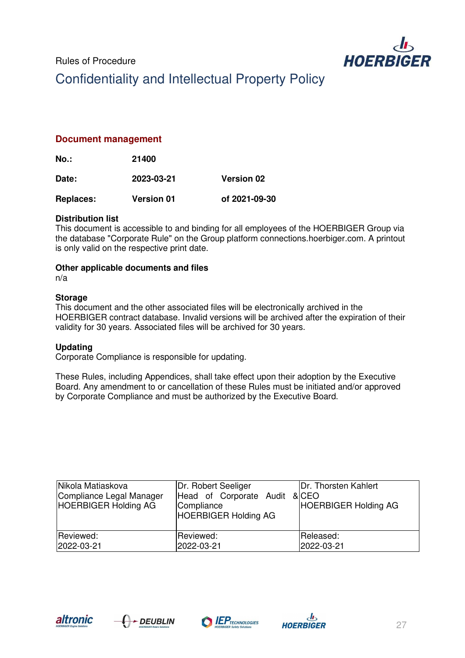

Rules of Procedure Confidentiality and Intellectual Property Policy

# **Document management**

**No.: 21400** 

**Date: 2023-03-21 Version 02** 

**Replaces: Version 01 of 2021-09-30** 

## **Distribution list**

This document is accessible to and binding for all employees of the HOERBIGER Group via the database "Corporate Rule" on the Group platform connections.hoerbiger.com. A printout is only valid on the respective print date.

# **Other applicable documents and files**

n/a

# **Storage**

This document and the other associated files will be electronically archived in the HOERBIGER contract database. Invalid versions will be archived after the expiration of their validity for 30 years. Associated files will be archived for 30 years.

# **Updating**

Corporate Compliance is responsible for updating.

These Rules, including Appendices, shall take effect upon their adoption by the Executive Board. Any amendment to or cancellation of these Rules must be initiated and/or approved by Corporate Compliance and must be authorized by the Executive Board.

| Nikola Matiaskova<br>Compliance Legal Manager<br><b>HOERBIGER Holding AG</b> | Dr. Robert Seeliger<br>Head of Corporate Audit<br>Compliance<br><b>HOERBIGER Holding AG</b> | Dr. Thorsten Kahlert<br>&ICEO<br><b>HOERBIGER Holding AG</b> |
|------------------------------------------------------------------------------|---------------------------------------------------------------------------------------------|--------------------------------------------------------------|
| Reviewed:                                                                    | Reviewed:                                                                                   | Released:                                                    |
| 2022-03-21                                                                   | 2022-03-21                                                                                  | 2022-03-21                                                   |